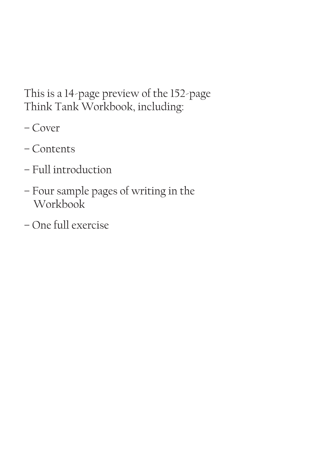This is a 14-page preview of the 152-page Think Tank Workbook, including:

- Cover
- Contents
- Full introduction
- Four sample pages of writing in the Workbook
- One full exercise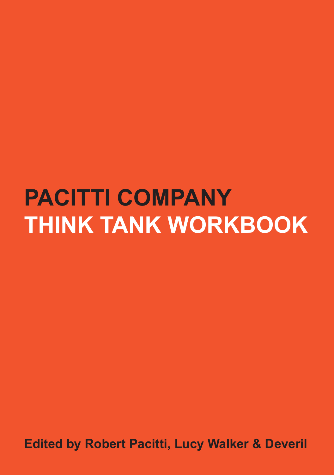## **PACITTI COMPANY THINK TANK WORKBOOK**

**Edited by Robert Pacitti, Lucy Walker & Deveril**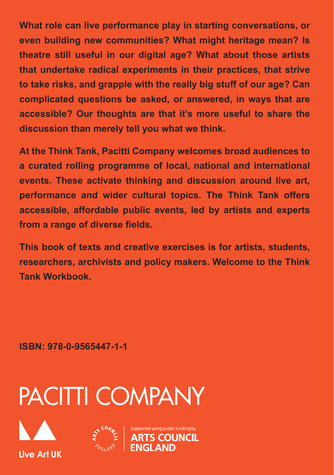**What role can live performance play in starting conversations, or even building new communities? What might heritage mean? Is theatre still useful in our digital age? What about those artists that undertake radical experiments in their practices, that strive to take risks, and grapple with the really big stuff of our age? Can complicated questions be asked, or answered, in ways that are accessible? Our thoughts are that it's more useful to share the discussion than merely tell you what we think.**

**At the Think Tank, Pacitti Company welcomes broad audiences to a curated rolling programme of local, national and international events. These activate thinking and discussion around live art, performance and wider cultural topics. The Think Tank offers accessible, affordable public events, led by artists and experts from a range of diverse fields.**

**This book of texts and creative exercises is for artists, students, researchers, archivists and policy makers. Welcome to the Think Tank Workbook.**

**ISBN: 978-0-9565447-1-1**

# **PACITTI COMPANY**





ported using public funding by **COUNCIL**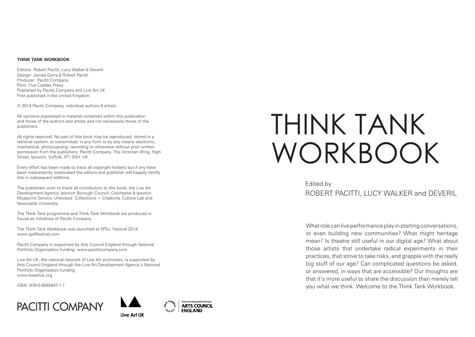#### **THINK TANK WORKBOOK**

Editors: Robert Pacitti, Lucy Walker & Deveril Design: James Gorry & Robert Pacitti Producer: Pacitti Company Print: Five Castles Press Published by Pacitti Company and Live Art UK First published in the United Kingdom

© 2014 Pacitti Company, individual authors & artists

All opinions expressed in material contained within this publication and those of the authors and artists and not necessarily those of the publishers.

All rights reserved. No part of this book may be reproduced, stored in a retrieval system, or transmitted, in any form or by any means electronic, mechanical, photocopying, recording or otherwise without prior written permission from the publishers: Pacitti Company, The Victorian Wing, High Street, Ipswich, Suffolk, IP1 3QH. UK

Every effort has been made to trace all copyright holders but if any have been inadvertently overlooked the editors and publisher will happily rectify this in subsequent editions.

The publishers wish to thank all contributors to this book, the Live Art Development Agency, Ipswich Borough Council, Colchester & Ipswich Museums Service, Unlocked: Collections + Creativity, Culture Lab and Newcastle University.

The Think Tank programme and Think Tank Workbook are produced in house as initiatives of Pacitti Company.

The Think Tank Workbook was launched at SPILL Festival 2014. www.spillfestival.com

Pacitti Company is supported by Arts Council England through National Portfolio Organisation funding. www.pacitticompany.com

Live Art UK, the national network of Live Art promoters, is supported by Arts Council England through the Live Art Development Agency's National Portfolio Organisation funding. www.liveartuk.org

ISBN: 978-0-9565447-1-1







# THINK TANK WORKBOOK

### Edited by ROBERT PACITTI, LUCY WALKER and DEVERIL

What role can live performance play in starting conversations, or even building new communities? What might heritage mean? Is theatre still useful in our digital age? What about those artists that undertake radical experiments in their practices, that strive to take risks, and grapple with the really big stuff of our age? Can complicated questions be asked, or answered, in ways that are accessible? Our thoughts are that it's more useful to share the discussion than merely tell you what we think. Welcome to the Think Tank Workbook.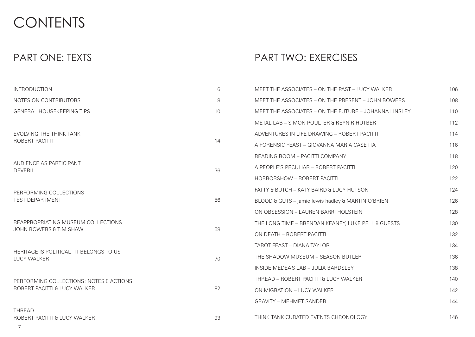## CONTENTS

## PART ONE: TEXTS

## PART TWO: EXERCISES

| <b>INTRODUCTION</b>                                                                                              | 6  | MEET THE ASSOCIATES - ON THE PAST - LUCY WALKER       | 106 |
|------------------------------------------------------------------------------------------------------------------|----|-------------------------------------------------------|-----|
| NOTES ON CONTRIBUTORS                                                                                            | 8  | MEET THE ASSOCIATES - ON THE PRESENT - JOHN BOWERS    | 108 |
| <b>GENERAL HOUSEKEEPING TIPS</b>                                                                                 | 10 | MEET THE ASSOCIATES - ON THE FUTURE - JOHANNA LINSLEY | 110 |
|                                                                                                                  |    | METAL LAB - SIMON POULTER & REYNIR HUTBER             | 112 |
| EVOLVING THE THINK TANK<br>ROBERT PACITTI                                                                        | 14 | ADVENTURES IN LIFE DRAWING - ROBERT PACITTI           | 114 |
|                                                                                                                  |    | A FORENSIC FEAST - GIOVANNA MARIA CASETTA             | 116 |
| AUDIENCE AS PARTICIPANT<br><b>DEVERIL</b>                                                                        | 36 | <b>READING ROOM - PACITTI COMPANY</b>                 | 118 |
|                                                                                                                  |    | A PEOPLE'S PECULIAR - ROBERT PACITTI                  | 120 |
|                                                                                                                  |    | HORRORSHOW - ROBERT PACITTI                           | 122 |
| PERFORMING COLLECTIONS<br><b>TEST DEPARTMENT</b><br>REAPPROPRIATING MUSEUM COLLECTIONS<br>JOHN BOWERS & TIM SHAW | 56 | FATTY & BUTCH - KATY BAIRD & LUCY HUTSON              | 124 |
|                                                                                                                  |    | BLOOD & GUTS - jamie lewis hadley & MARTIN O'BRIEN    | 126 |
|                                                                                                                  |    | ON OBSESSION - LAUREN BARRI HOLSTEIN                  | 128 |
|                                                                                                                  | 58 | THE LONG TIME - BRENDAN KEANEY, LUKE PELL & GUESTS    | 130 |
|                                                                                                                  |    | ON DEATH - ROBERT PACITTI                             | 132 |
| HERITAGE IS POLITICAL: IT BELONGS TO US<br><b>LUCY WALKER</b>                                                    |    | TAROT FEAST - DIANA TAYLOR                            | 134 |
|                                                                                                                  | 70 | THE SHADOW MUSEUM - SEASON BUTLER                     | 136 |
|                                                                                                                  |    | INSIDE MEDEA'S LAB - JULIA BARDSLEY                   | 138 |
| PERFORMING COLLECTIONS: NOTES & ACTIONS<br>ROBERT PACITTI & LUCY WALKER                                          | 82 | THREAD - ROBERT PACITTI & LUCY WALKER                 | 140 |
|                                                                                                                  |    | ON MIGRATION - LUCY WALKER                            | 142 |
|                                                                                                                  |    | <b>GRAVITY - MEHMET SANDER</b>                        | 144 |
| <b>THREAD</b><br>ROBERT PACITTI & LUCY WALKER                                                                    | 93 | THINK TANK CURATED EVENTS CHRONOLOGY                  | 146 |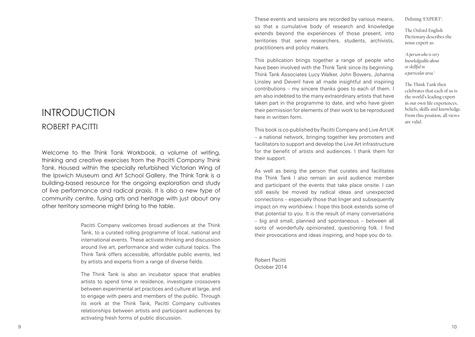## INTRODUCTION ROBERT PACITTI

Welcome to the Think Tank Workbook, a volume of writing, thinking and creative exercises from the Pacitti Company Think Tank. Housed within the specially refurbished Victorian Wing of the Ipswich Museum and Art School Gallery, the Think Tank is a building-based resource for the ongoing exploration and study of live performance and radical praxis. It is also a new type of community centre, fusing arts and heritage with just about any other territory someone might bring to the table.

> Pacitti Company welcomes broad audiences at the Think Tank, to a curated rolling programme of local, national and international events. These activate thinking and discussion around live art, performance and wider cultural topics. The Think Tank offers accessible, affordable public events, led by artists and experts from a range of diverse fields.

> The Think Tank is also an incubator space that enables artists to spend time in residence, investigate crossovers between experimental art practices and culture at large, and to engage with peers and members of the public. Through its work at the Think Tank, Pacitti Company cultivates relationships between artists and participant audiences by activating fresh forms of public discussion.

These events and sessions are recorded by various means, so that a cumulative body of research and knowledge extends beyond the experiences of those present, into territories that serve researchers, students, archivists, practitioners and policy makers.

This publication brings together a range of people who have been involved with the Think Tank since its beginning. Think Tank Associates Lucy Walker, John Bowers, Johanna Linsley and Deveril have all made insightful and inspiring contributions – my sincere thanks goes to each of them. I am also indebted to the many extraordinary artists that have taken part in the programme to date, and who have given their permission for elements of their work to be reproduced here in written form.

This book is co-published by Pacitti Company and Live Art UK – a national network, bringing together key promoters and facilitators to support and develop the Live Art infrastructure for the benefit of artists and audiences. I thank them for their support.

As well as being the person that curates and facilitates the Think Tank I also remain an avid audience member and participant of the events that take place onsite. I can still easily be moved by radical ideas and unexpected connections – especially those that linger and subsequently impact on my worldview. I hope this book extends some of that potential to you. It is the result of many conversations – big and small, planned and spontaneous – between all sorts of wonderfully opinionated, questioning folk. I find their provocations and ideas inspiring, and hope you do to.

Robert Pacitti October 2014 Defining 'EXPERT':

The Oxford English Dictionary describes the noun expert as:

*'A person who is very knowledgeable about or skillful in a particular area.'* 

The Think Tank then celebrates that each of us is the world's leading expert in our own life experiences, beliefs, skills and knowledge. From this position, all views are valid.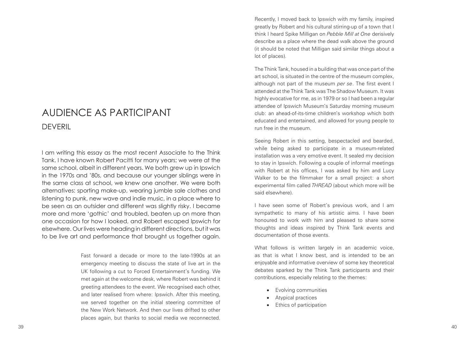## AUDIENCE AS PARTICIPANT DEVERIL

I am writing this essay as the most recent Associate to the Think Tank. I have known Robert Pacitti for many years; we were at the same school, albeit in different years. We both grew up in Ipswich in the 1970s and '80s, and because our younger siblings were in the same class at school, we knew one another. We were both alternatives: sporting make-up, wearing jumble sale clothes and listening to punk, new wave and indie music, in a place where to be seen as an outsider and different was slightly risky. I became more and more 'gothic' and troubled, beaten up on more than one occasion for how I looked, and Robert escaped Ipswich for elsewhere. Our lives were heading in different directions, but it was to be live art and performance that brought us together again.

> Fast forward a decade or more to the late-1990s at an emergency meeting to discuss the state of live art in the UK following a cut to Forced Entertainment's funding. We met again at the welcome desk, where Robert was behind it greeting attendees to the event. We recognised each other, and later realised from where: Ipswich. After this meeting, we served together on the initial steering committee of the New Work Network. And then our lives drifted to other places again, but thanks to social media we reconnected.

Recently, I moved back to Ipswich with my family, inspired greatly by Robert and his cultural stirring-up of a town that I think I heard Spike Milligan on *Pebble Mill at One* derisively describe as a place where the dead walk above the ground (it should be noted that Milligan said similar things about a lot of places).

The Think Tank, housed in a building that was once part of the art school, is situated in the centre of the museum complex, although not part of the museum *per se*. The first event I attended at the Think Tank was The Shadow Museum. It was highly evocative for me, as in 1979 or so I had been a regular attendee of Ipswich Museum's Saturday morning museum club: an ahead-of-its-time children's workshop which both educated and entertained, and allowed for young people to run free in the museum.

Seeing Robert in this setting, bespectacled and bearded, while being asked to participate in a museum-related installation was a very emotive event. It sealed my decision to stay in Ipswich. Following a couple of informal meetings with Robert at his offices, I was asked by him and Lucy Walker to be the filmmaker for a small project: a short experimental film called *THREAD* (about which more will be said elsewhere).

I have seen some of Robert's previous work, and I am sympathetic to many of his artistic aims. I have been honoured to work with him and pleased to share some thoughts and ideas inspired by Think Tank events and documentation of those events.

What follows is written largely in an academic voice, as that is what I know best, and is intended to be an enjoyable and informative overview of some key theoretical debates sparked by the Think Tank participants and their contributions, especially relating to the themes:

- • Evolving communities
- Atypical practices
- **Ethics of participation**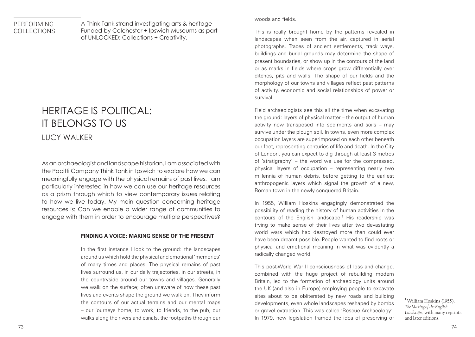### PERFORMING COLLECTIONS

A Think Tank strand investigating arts & heritage Funded by Colchester + Ipswich Museums as part of UNLOCKED: Collections + Creativity.

## HERITAGE IS POLITICAL: IT BELONGS TO US LUCY WALKER

As an archaeologist and landscape historian, I am associated with the Pacitti Company Think Tank in Ipswich to explore how we can meaningfully engage with the physical remains of past lives. I am particularly interested in how we can use our heritage resources as a prism through which to view contemporary issues relating to how we live today. My main question concerning heritage resources is: Can we enable a wider range of communities to engage with them in order to encourage multiple perspectives?

#### **FINDING A VOICE: MAKING SENSE OF THE PRESENT**

In the first instance I look to the ground: the landscapes around us which hold the physical and emotional 'memories' of many times and places. The physical remains of past lives surround us, in our daily trajectories, in our streets, in the countryside around our towns and villages. Generally we walk on the surface; often unaware of how these past lives and events shape the ground we walk on. They inform the contours of our actual terrains and our mental maps – our journeys home, to work, to friends, to the pub, our walks along the rivers and canals, the footpaths through our

#### woods and fields.

This is really brought home by the patterns revealed in landscapes when seen from the air, captured in aerial photographs. Traces of ancient settlements, track ways, buildings and burial grounds may determine the shape of present boundaries, or show up in the contours of the land or as marks in fields where crops grow differentially over ditches, pits and walls. The shape of our fields and the morphology of our towns and villages reflect past patterns of activity, economic and social relationships of power or survival.

Field archaeologists see this all the time when excavating the ground: layers of physical matter – the output of human activity now transposed into sediments and soils – may survive under the plough soil. In towns, even more complex occupation layers are superimposed on each other beneath our feet, representing centuries of life and death. In the City of London, you can expect to dig through at least 3 metres of 'stratigraphy' – the word we use for the compressed, physical layers of occupation – representing nearly two millennia of human debris, before getting to the earliest anthropogenic layers which signal the growth of a new, Roman town in the newly conquered Britain.

In 1955, William Hoskins engagingly demonstrated the possibility of reading the history of human activities in the contours of the English landscape.<sup>1</sup> His readership was trying to make sense of their lives after two devastating world wars which had destroyed more than could ever have been dreamt possible. People wanted to find roots or physical and emotional meaning in what was evidently a radically changed world.

This post-World War II consciousness of loss and change, combined with the huge project of rebuilding modern Britain, led to the formation of archaeology units around the UK (and also in Europe) employing people to excavate sites about to be obliterated by new roads and building developments, even whole landscapes reshaped by bombs or gravel extraction. This was called 'Rescue Archaeology'. In 1979, new legislation framed the idea of preserving or

<sup>1</sup> William Hoskins (1955), *The Making of the English Landscape*, with many reprints and later editions.